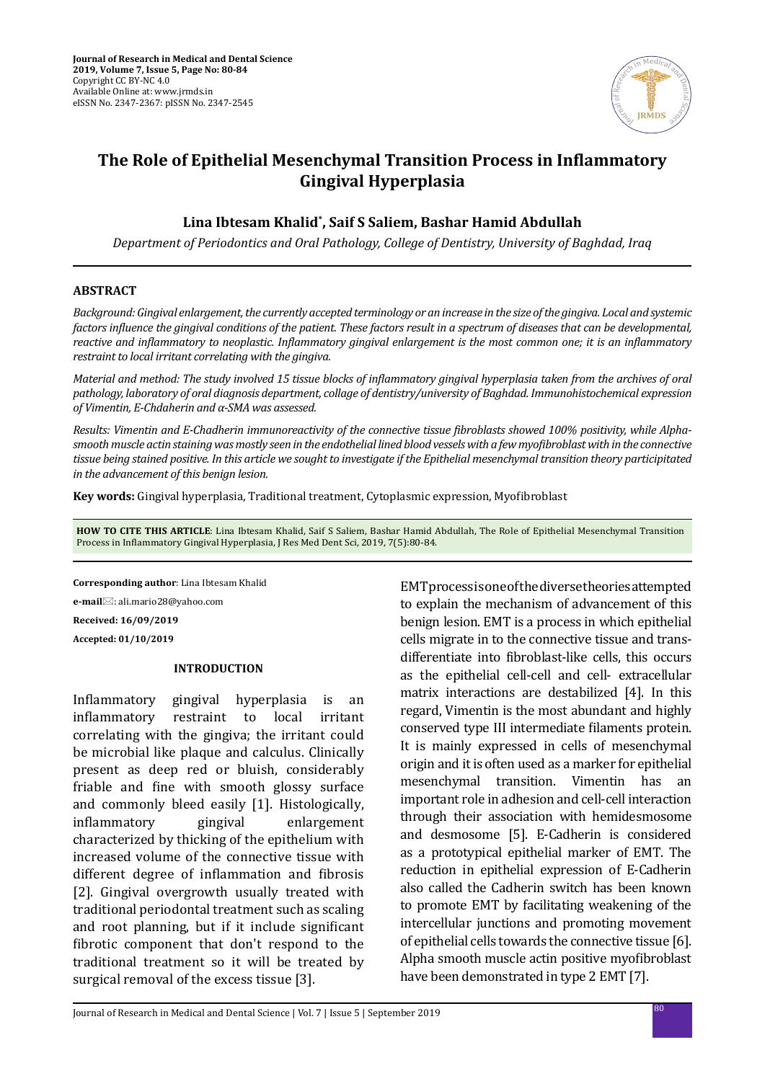

# **The Role of Epithelial Mesenchymal Transition Process in Inflammatory Gingival Hyperplasia**

## **Lina Ibtesam Khalid\* , Saif S Saliem, Bashar Hamid Abdullah**

*Department of Periodontics and Oral Pathology, College of Dentistry, University of Baghdad, Iraq*

#### **ABSTRACT**

*Background: Gingival enlargement, the currently accepted terminology or an increase in the size of the gingiva. Local and systemic factors influence the gingival conditions of the patient. These factors result in a spectrum of diseases that can be developmental, reactive and inflammatory to neoplastic. Inflammatory gingival enlargement is the most common one; it is an inflammatory restraint to local irritant correlating with the gingiva.* 

*Material and method: The study involved 15 tissue blocks of inflammatory gingival hyperplasia taken from the archives of oral pathology, laboratory of oral diagnosis department, collage of dentistry/university of Baghdad. Immunohistochemical expression of Vimentin, E-Chdaherin and α-SMA was assessed.* 

*Results: Vimentin and E-Chadherin immunoreactivity of the connective tissue fibroblasts showed 100% positivity, while Alphasmooth muscle actin staining was mostly seen in the endothelial lined blood vessels with a few myofibroblast with in the connective tissue being stained positive. In this article we sought to investigate if the Epithelial mesenchymal transition theory participitated in the advancement of this benign lesion.*

**Key words:** Gingival hyperplasia, Traditional treatment, Cytoplasmic expression, Myofibroblast

**HOW TO CITE THIS ARTICLE**: Lina Ibtesam Khalid, Saif S Saliem, Bashar Hamid Abdullah, The Role of Epithelial Mesenchymal Transition Process in Inflammatory Gingival Hyperplasia, J Res Med Dent Sci, 2019, 7(5):80-84.

**Corresponding author**: Lina Ibtesam Khalid **e-mail**⊠: ali.mario28@yahoo.com **Received: 16/09/2019 Accepted: 01/10/2019**

### **INTRODUCTION**

Inflammatory gingival hyperplasia is an inflammatory restraint to local irritant restraint to local irritant correlating with the gingiva; the irritant could be microbial like plaque and calculus. Clinically present as deep red or bluish, considerably friable and fine with smooth glossy surface and commonly bleed easily [1]. Histologically,<br>inflammatory gingival enlargement inflammatory characterized by thicking of the epithelium with increased volume of the connective tissue with different degree of inflammation and fibrosis [2]. Gingival overgrowth usually treated with traditional periodontal treatment such as scaling and root planning, but if it include significant fibrotic component that don't respond to the traditional treatment so it will be treated by surgical removal of the excess tissue [3].

EMT process is one of the diverse theories attempted to explain the mechanism of advancement of this benign lesion. EMT is a process in which epithelial cells migrate in to the connective tissue and transdifferentiate into fibroblast-like cells, this occurs as the epithelial cell-cell and cell- extracellular matrix interactions are destabilized [4]. In this regard, Vimentin is the most abundant and highly conserved type III intermediate filaments protein. It is mainly expressed in cells of mesenchymal origin and it is often used as a marker for epithelial mesenchymal transition. Vimentin has an important role in adhesion and cell-cell interaction through their association with hemidesmosome and desmosome [5]. E-Cadherin is considered as a prototypical epithelial marker of EMT. The reduction in epithelial expression of E-Cadherin also called the Cadherin switch has been known to promote EMT by facilitating weakening of the intercellular junctions and promoting movement of epithelial cells towards the connective tissue [6]. Alpha smooth muscle actin positive myofibroblast have been demonstrated in type 2 EMT [7].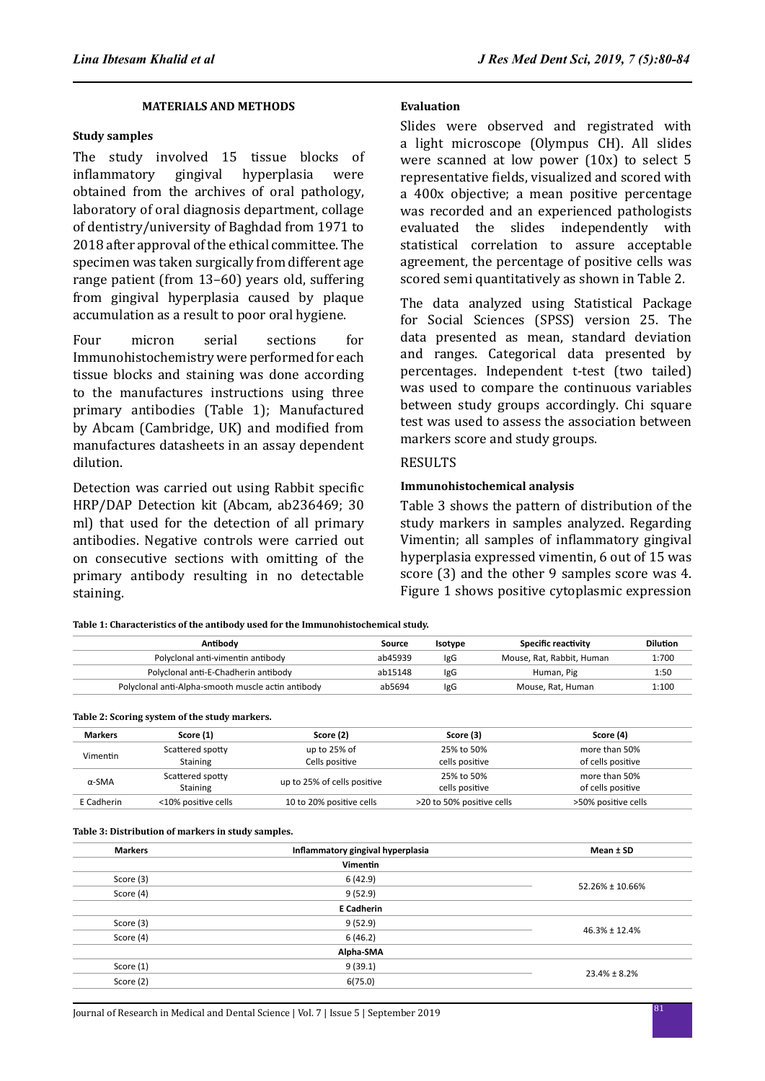### **MATERIALS AND METHODS**

#### **Study samples**

The study involved 15 tissue blocks of<br>inflammatory gingival hyperplasia were inflammatory obtained from the archives of oral pathology, laboratory of oral diagnosis department, collage of dentistry/university of Baghdad from 1971 to 2018 after approval of the ethical committee. The specimen was taken surgically from different age range patient (from 13–60) years old, suffering from gingival hyperplasia caused by plaque accumulation as a result to poor oral hygiene.

Four micron serial sections for Immunohistochemistry were performed for each tissue blocks and staining was done according to the manufactures instructions using three primary antibodies (Table 1); Manufactured by Abcam (Cambridge, UK) and modified from manufactures datasheets in an assay dependent dilution.

Detection was carried out using Rabbit specific HRP/DAP Detection kit (Abcam, ab236469; 30 ml) that used for the detection of all primary antibodies. Negative controls were carried out on consecutive sections with omitting of the primary antibody resulting in no detectable staining.

#### **Evaluation**

Slides were observed and registrated with a light microscope (Olympus CH). All slides were scanned at low power (10x) to select 5 representative fields, visualized and scored with a 400x objective; a mean positive percentage was recorded and an experienced pathologists evaluated the slides independently with statistical correlation to assure acceptable agreement, the percentage of positive cells was scored semi quantitatively as shown in Table 2.

The data analyzed using Statistical Package for Social Sciences (SPSS) version 25. The data presented as mean, standard deviation and ranges. Categorical data presented by percentages. Independent t-test (two tailed) was used to compare the continuous variables between study groups accordingly. Chi square test was used to assess the association between markers score and study groups.

#### RESULTS

#### **Immunohistochemical analysis**

Table 3 shows the pattern of distribution of the study markers in samples analyzed. Regarding Vimentin; all samples of inflammatory gingival hyperplasia expressed vimentin, 6 out of 15 was score (3) and the other 9 samples score was 4. Figure 1 shows positive cytoplasmic expression

**Table 1: Characteristics of the antibody used for the Immunohistochemical study.**

| Antibody                                           | Source  | Isotype    | <b>Specific reactivity</b> | <b>Dilution</b> |
|----------------------------------------------------|---------|------------|----------------------------|-----------------|
| Polyclonal anti-vimentin antibody                  | ab45939 | <b>IgG</b> | Mouse, Rat, Rabbit, Human  | 1:700           |
| Polyclonal anti-E-Chadherin antibody               | ab15148 | lgG        | Human, Pig                 | 1:50            |
| Polyclonal anti-Alpha-smooth muscle actin antibody | ab5694  | <b>IgG</b> | Mouse, Rat, Human          | 1:100           |

#### **Table 2: Scoring system of the study markers.**

| <b>Markers</b> | Score (1)           | Score (2)                   | Score (3)                 | Score (4)           |
|----------------|---------------------|-----------------------------|---------------------------|---------------------|
| Vimentin       | Scattered spotty    | up to 25% of                | 25% to 50%                | more than 50%       |
|                | Staining            | Cells positive              | cells positive            | of cells positive   |
| $\alpha$ -SMA  | Scattered spotty    | up to 25% of cells positive | 25% to 50%                | more than 50%       |
|                | Staining            |                             | cells positive            | of cells positive   |
| E Cadherin     | <10% positive cells | 10 to 20% positive cells    | >20 to 50% positive cells | >50% positive cells |

**Table 3: Distribution of markers in study samples.**

| <b>Markers</b> | Inflammatory gingival hyperplasia | Mean ± SD           |  |
|----------------|-----------------------------------|---------------------|--|
|                | <b>Vimentin</b>                   |                     |  |
| Score (3)      | 6(42.9)                           |                     |  |
| Score (4)      | 9(52.9)                           | 52.26% ± 10.66%     |  |
|                | <b>E</b> Cadherin                 |                     |  |
| Score (3)      | 9(52.9)                           | $46.3\% \pm 12.4\%$ |  |
| Score (4)      | 6(46.2)                           |                     |  |
|                | Alpha-SMA                         |                     |  |
| Score (1)      | 9(39.1)                           | $23.4\% \pm 8.2\%$  |  |
| Score (2)      | 6(75.0)                           |                     |  |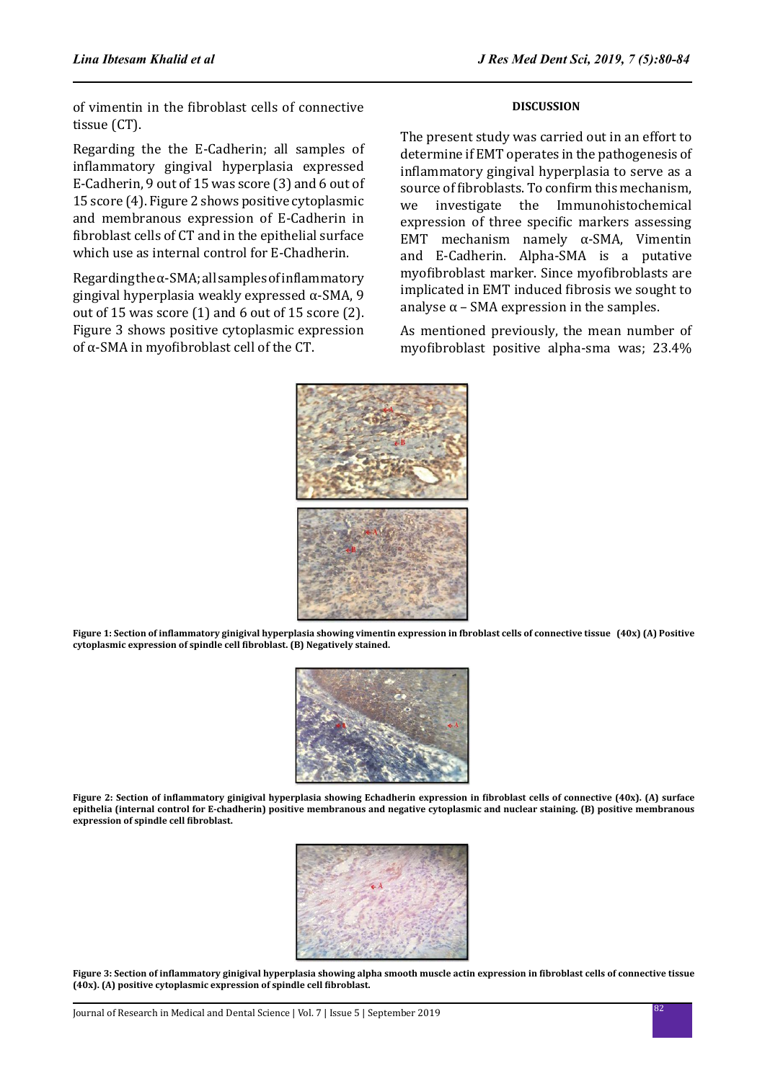of vimentin in the fibroblast cells of connective tissue (CT).

Regarding the the E-Cadherin; all samples of inflammatory gingival hyperplasia expressed E-Cadherin, 9 out of 15 was score (3) and 6 out of 15 score (4). Figure 2 shows positive cytoplasmic and membranous expression of E-Cadherin in fibroblast cells of CT and in the epithelial surface which use as internal control for E-Chadherin.

Regarding the  $\alpha$ -SMA; all samples of inflammatory gingival hyperplasia weakly expressed α-SMA, 9 out of 15 was score (1) and 6 out of 15 score (2). Figure 3 shows positive cytoplasmic expression of α-SMA in myofibroblast cell of the CT.

#### **DISCUSSION**

The present study was carried out in an effort to determine if EMT operates in the pathogenesis of inflammatory gingival hyperplasia to serve as a source of fibroblasts. To confirm this mechanism,<br>we investigate the Immunohistochemical Immunohistochemical expression of three specific markers assessing EMT mechanism namely α-SMA, Vimentin and E-Cadherin. Alpha-SMA is a putative myofibroblast marker. Since myofibroblasts are implicated in EMT induced fibrosis we sought to analyse  $\alpha$  – SMA expression in the samples.

As mentioned previously, the mean number of myofibroblast positive alpha-sma was; 23.4%



**Figure 1: Section of inflammatory ginigival hyperplasia showing vimentin expression in fbroblast cells of connective tissue (40x) (A) Positive cytoplasmic expression of spindle cell fibroblast. (B) Negatively stained.**



**Figure 2: Section of inflammatory ginigival hyperplasia showing Echadherin expression in fibroblast cells of connective (40x). (A) surface epithelia (internal control for E-chadherin) positive membranous and negative cytoplasmic and nuclear staining. (B) positive membranous expression of spindle cell fibroblast.**



**Figure 3: Section of inflammatory ginigival hyperplasia showing alpha smooth muscle actin expression in fibroblast cells of connective tissue (40x). (A) positive cytoplasmic expression of spindle cell fibroblast.**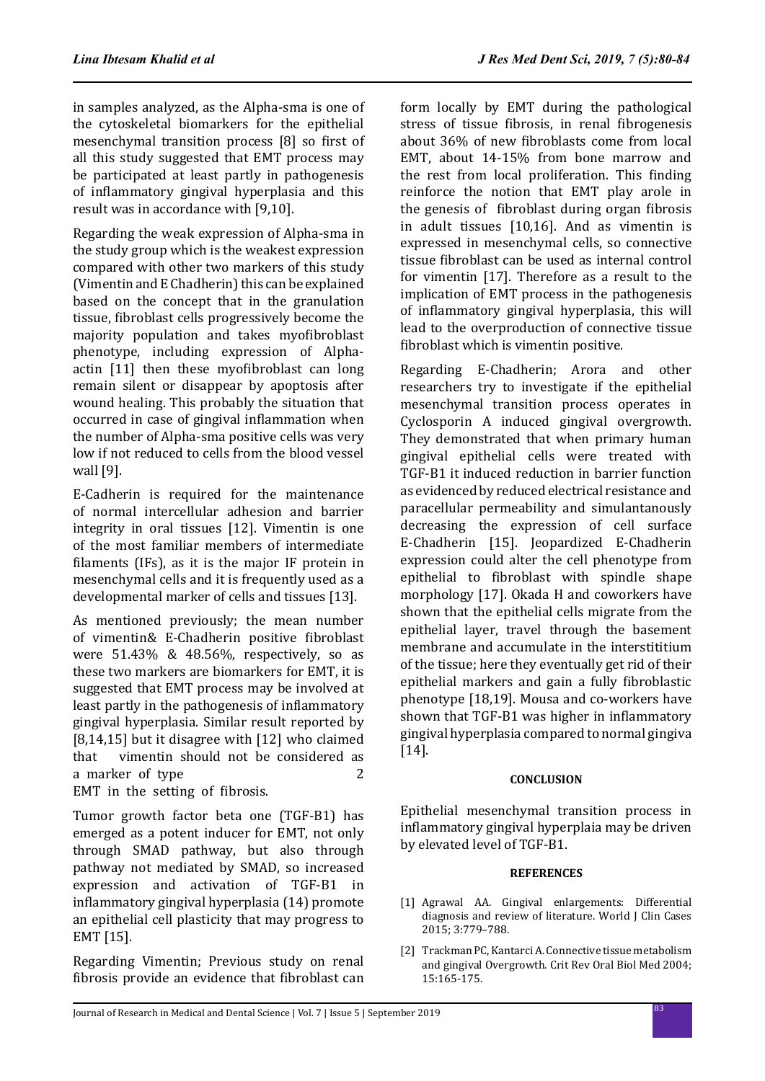in samples analyzed, as the Alpha-sma is one of the cytoskeletal biomarkers for the epithelial mesenchymal transition process [8] so first of all this study suggested that EMT process may be participated at least partly in pathogenesis of inflammatory gingival hyperplasia and this result was in accordance with [9,10].

Regarding the weak expression of Alpha-sma in the study group which is the weakest expression compared with other two markers of this study (Vimentin and E Chadherin) this can be explained based on the concept that in the granulation tissue, fibroblast cells progressively become the majority population and takes myofibroblast phenotype, including expression of Alphaactin [11] then these myofibroblast can long remain silent or disappear by apoptosis after wound healing. This probably the situation that occurred in case of gingival inflammation when the number of Alpha-sma positive cells was very low if not reduced to cells from the blood vessel wall [9].

E-Cadherin is required for the maintenance of normal intercellular adhesion and barrier integrity in oral tissues [12]. Vimentin is one of the most familiar members of intermediate filaments (IFs), as it is the major IF protein in mesenchymal cells and it is frequently used as a developmental marker of cells and tissues [13].

As mentioned previously; the mean number of vimentin& E-Chadherin positive fibroblast were 51.43% & 48.56%, respectively, so as these two markers are biomarkers for EMT, it is suggested that EMT process may be involved at least partly in the pathogenesis of inflammatory gingival hyperplasia. Similar result reported by [8,14,15] but it disagree with [12] who claimed that vimentin should not be considered as a marker of type 2 EMT in the setting of fibrosis.

Tumor growth factor beta one (TGF-B1) has emerged as a potent inducer for EMT, not only through SMAD pathway, but also through pathway not mediated by SMAD, so increased expression and activation of TGF-B1 in inflammatory gingival hyperplasia (14) promote an epithelial cell plasticity that may progress to EMT [15].

Regarding Vimentin; Previous study on renal fibrosis provide an evidence that fibroblast can form locally by EMT during the pathological stress of tissue fibrosis, in renal fibrogenesis about 36% of new fibroblasts come from local EMT, about 14-15% from bone marrow and the rest from local proliferation. This finding reinforce the notion that EMT play arole in the genesis of fibroblast during organ fibrosis in adult tissues [10,16]. And as vimentin is expressed in mesenchymal cells, so connective tissue fibroblast can be used as internal control for vimentin [17]. Therefore as a result to the implication of EMT process in the pathogenesis of inflammatory gingival hyperplasia, this will lead to the overproduction of connective tissue fibroblast which is vimentin positive.

Regarding E-Chadherin; Arora and other researchers try to investigate if the epithelial mesenchymal transition process operates in Cyclosporin A induced gingival overgrowth. They demonstrated that when primary human gingival epithelial cells were treated with TGF-B1 it induced reduction in barrier function as evidenced by reduced electrical resistance and paracellular permeability and simulantanously decreasing the expression of cell surface E-Chadherin [15]. Jeopardized E-Chadherin expression could alter the cell phenotype from epithelial to fibroblast with spindle shape morphology [17]. Okada H and coworkers have shown that the epithelial cells migrate from the epithelial layer, travel through the basement membrane and accumulate in the interstititium of the tissue; here they eventually get rid of their epithelial markers and gain a fully fibroblastic phenotype [18,19]. Mousa and co-workers have shown that TGF-B1 was higher in inflammatory gingival hyperplasia compared to normal gingiva [14].

#### **CONCLUSION**

Epithelial mesenchymal transition process in inflammatory gingival hyperplaia may be driven by elevated level of TGF-B1.

#### **REFERENCES**

- [1] Agrawal AA. Gingival enlargements: Differential diagnosis and review of literature. World J Clin Cases 2015; 3:779–788.
- [2] Trackman PC, Kantarci A. Connective tissue metabolism and gingival Overgrowth. Crit Rev Oral Biol Med 2004; 15:165-175.